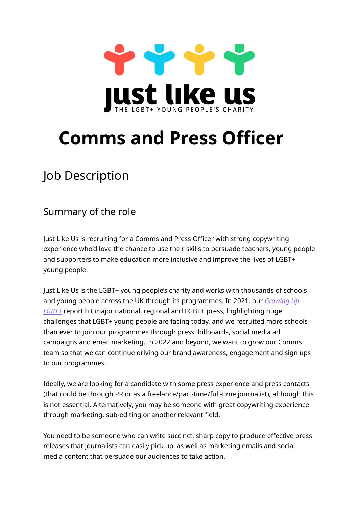

# **Comms and Press Officer**

# Job Description

#### Summary of the role

Just Like Us is recruiting for a Comms and Press Officer with strong copywriting experience who'd love the chance to use their skills to persuade teachers, young people and supporters to make education more inclusive and improve the lives of LGBT+ young people.

Just Like Us is the LGBT+ young people's charity and works with thousands of schools and young people across the UK through its programmes. In 2021, our *[Growing](https://www.justlikeus.org/blog/2021/11/25/research-report-growing-up-lgbt-bullying/) Up [LGBT+](https://www.justlikeus.org/blog/2021/11/25/research-report-growing-up-lgbt-bullying/)* report hit major national, regional and LGBT+ press, highlighting huge challenges that LGBT+ young people are facing today, and we recruited more schools than ever to join our programmes through press, billboards, social media ad campaigns and email marketing. In 2022 and beyond, we want to grow our Comms team so that we can continue driving our brand awareness, engagement and sign ups to our programmes.

Ideally, we are looking for a candidate with some press experience and press contacts (that could be through PR or as a freelance/part-time/full-time journalist), although this is not essential. Alternatively, you may be someone with great copywriting experience through marketing, sub-editing or another relevant field.

You need to be someone who can write succinct, sharp copy to produce effective press releases that journalists can easily pick up, as well as marketing emails and social media content that persuade our audiences to take action.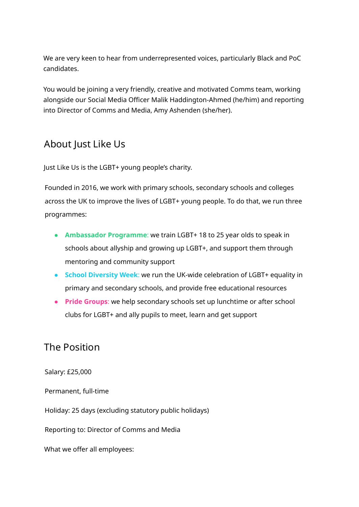We are very keen to hear from underrepresented voices, particularly Black and PoC candidates.

You would be joining a very friendly, creative and motivated Comms team, working alongside our Social Media Officer Malik Haddington-Ahmed (he/him) and reporting into Director of Comms and Media, Amy Ashenden (she/her).

#### About Just Like Us

Just Like Us is the LGBT+ young people's charity.

Founded in 2016, we work with primary schools, secondary schools and colleges across the UK to improve the lives of LGBT+ young people. To do that, we run three programmes:

- **Ambassador Programme**: we train LGBT+ 18 to 25 year olds to speak in schools about allyship and growing up LGBT+, and support them through mentoring and community support
- **School Diversity Week**: we run the UK-wide celebration of LGBT+ equality in primary and secondary schools, and provide free educational resources
- **Pride Groups**: we help secondary schools set up lunchtime or after school clubs for LGBT+ and ally pupils to meet, learn and get support

#### The Position

Salary: £25,000

Permanent, full-time

Holiday: 25 days (excluding statutory public holidays)

Reporting to: Director of Comms and Media

What we offer all employees: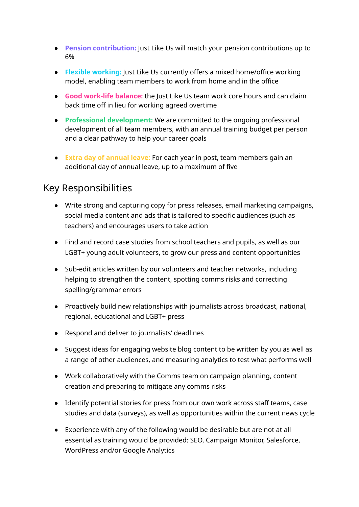- **Pension contribution:** Just Like Us will match your pension contributions up to 6%
- **Flexible working:** Just Like Us currently offers a mixed home/office working model, enabling team members to work from home and in the office
- **Good work-life balance:** the Just Like Us team work core hours and can claim back time off in lieu for working agreed overtime
- **Professional development:** We are committed to the ongoing professional development of all team members, with an annual training budget per person and a clear pathway to help your career goals
- **Extra day of annual leave:** For each year in post, team members gain an additional day of annual leave, up to a maximum of five

#### Key Responsibilities

- Write strong and capturing copy for press releases, email marketing campaigns, social media content and ads that is tailored to specific audiences (such as teachers) and encourages users to take action
- Find and record case studies from school teachers and pupils, as well as our LGBT+ young adult volunteers, to grow our press and content opportunities
- Sub-edit articles written by our volunteers and teacher networks, including helping to strengthen the content, spotting comms risks and correcting spelling/grammar errors
- Proactively build new relationships with journalists across broadcast, national, regional, educational and LGBT+ press
- Respond and deliver to journalists' deadlines
- Suggest ideas for engaging website blog content to be written by you as well as a range of other audiences, and measuring analytics to test what performs well
- Work collaboratively with the Comms team on campaign planning, content creation and preparing to mitigate any comms risks
- Identify potential stories for press from our own work across staff teams, case studies and data (surveys), as well as opportunities within the current news cycle
- Experience with any of the following would be desirable but are not at all essential as training would be provided: SEO, Campaign Monitor, Salesforce, WordPress and/or Google Analytics